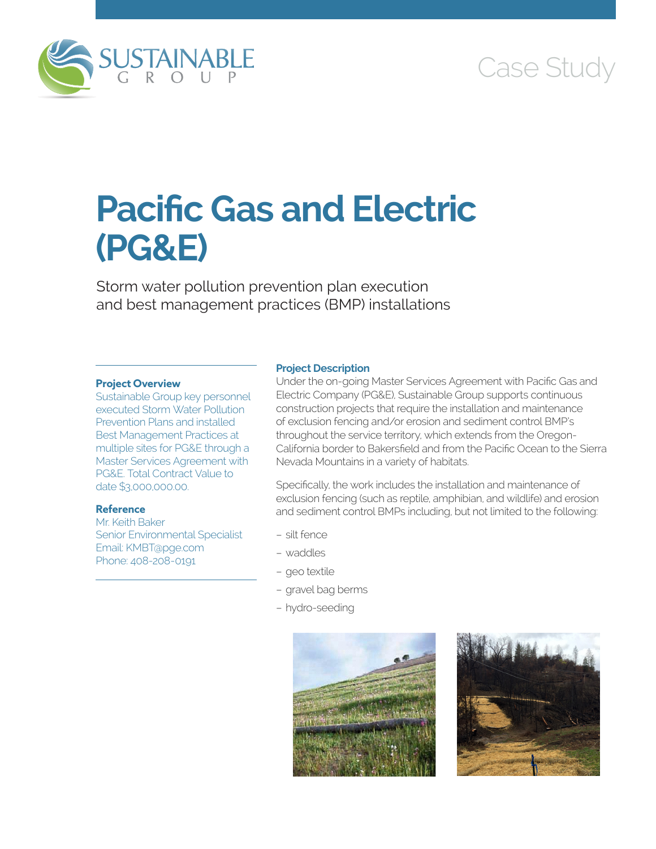

# Case Study

# **Pacific Gas and Electric (PG&E)**

Storm water pollution prevention plan execution and best management practices (BMP) installations

#### **Project Overview**

Sustainable Group key personnel executed Storm Water Pollution Prevention Plans and installed Best Management Practices at multiple sites for PG&E through a Master Services Agreement with PG&E. Total Contract Value to date \$3,000,000.00.

## **Reference**

Mr. Keith Baker Senior Environmental Specialist Email: KMBT@pge.com Phone: 408-208-0191

#### **Project Description**

Under the on-going Master Services Agreement with Pacific Gas and Electric Company (PG&E), Sustainable Group supports continuous construction projects that require the installation and maintenance of exclusion fencing and/or erosion and sediment control BMP's throughout the service territory, which extends from the Oregon-California border to Bakersfield and from the Pacific Ocean to the Sierra Nevada Mountains in a variety of habitats.

Specifically, the work includes the installation and maintenance of exclusion fencing (such as reptile, amphibian, and wildlife) and erosion and sediment control BMPs including, but not limited to the following:

- silt fence
- waddles
- geo textile
- gravel bag berms
- hydro-seeding